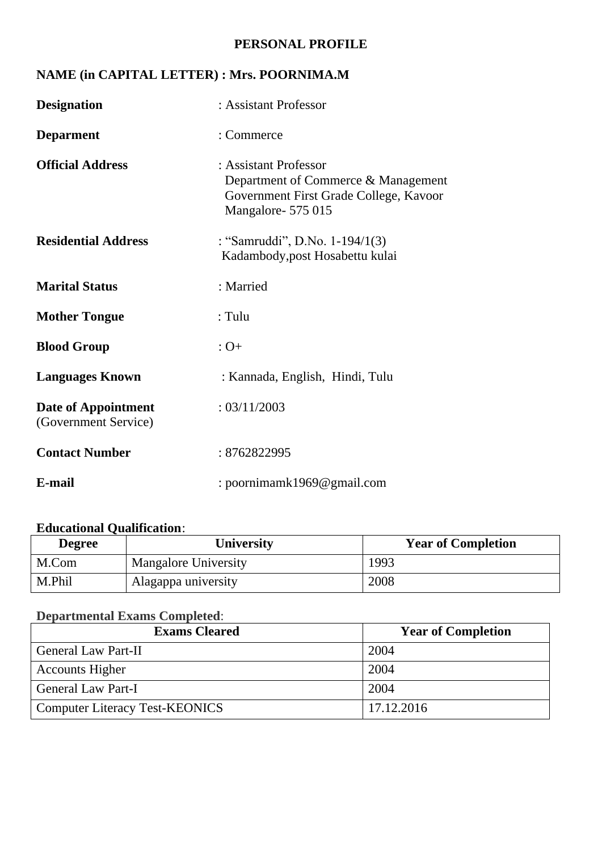#### **PERSONAL PROFILE**

## **NAME (in CAPITAL LETTER) : Mrs. POORNIMA.M**

| <b>Designation</b>                          | : Assistant Professor                                                                                                       |
|---------------------------------------------|-----------------------------------------------------------------------------------------------------------------------------|
| <b>Deparment</b>                            | : Commerce                                                                                                                  |
| <b>Official Address</b>                     | : Assistant Professor<br>Department of Commerce & Management<br>Government First Grade College, Kavoor<br>Mangalore-575 015 |
| <b>Residential Address</b>                  | : "Samruddi", D.No. 1-194/1(3)<br>Kadambody, post Hosabettu kulai                                                           |
| <b>Marital Status</b>                       | : Married                                                                                                                   |
| <b>Mother Tongue</b>                        | : Tulu                                                                                                                      |
| <b>Blood Group</b>                          | $:$ O+                                                                                                                      |
| <b>Languages Known</b>                      | : Kannada, English, Hindi, Tulu                                                                                             |
| Date of Appointment<br>(Government Service) | : 03/11/2003                                                                                                                |
| <b>Contact Number</b>                       | : 8762822995                                                                                                                |
| E-mail                                      | : poornimamk1969@gmail.com                                                                                                  |

# **Educational Qualification**:

| <b>Degree</b> | University                  | <b>Year of Completion</b> |
|---------------|-----------------------------|---------------------------|
| M.Com         | <b>Mangalore University</b> | 1993                      |
| M.Phil        | Alagappa university         | 2008                      |

#### **Departmental Exams Completed**:

| <b>Exams Cleared</b>                  | <b>Year of Completion</b> |
|---------------------------------------|---------------------------|
| <b>General Law Part-II</b>            | 2004                      |
| <b>Accounts Higher</b>                | 2004                      |
| General Law Part-I                    | 2004                      |
| <b>Computer Literacy Test-KEONICS</b> | 17.12.2016                |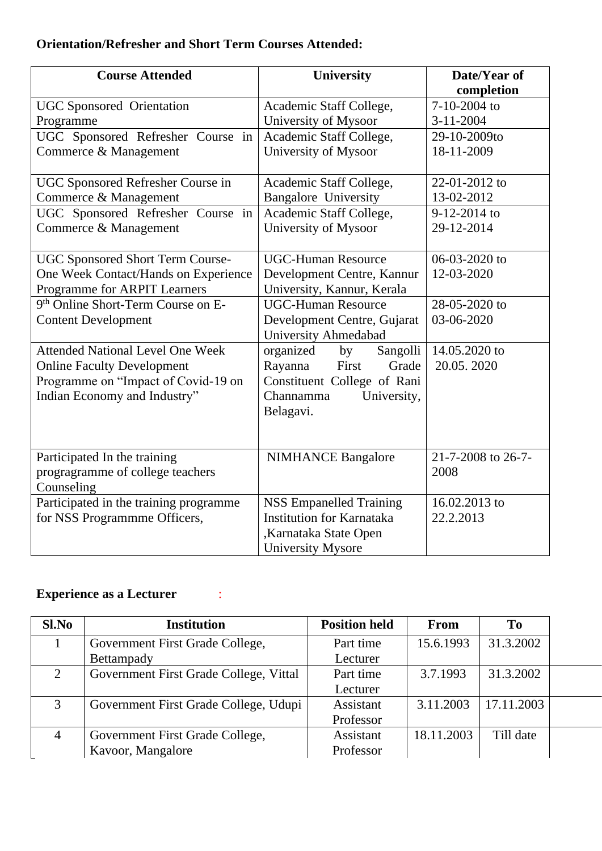## **Orientation/Refresher and Short Term Courses Attended:**

| <b>Course Attended</b>                  | <b>University</b>                | Date/Year of       |
|-----------------------------------------|----------------------------------|--------------------|
|                                         |                                  | completion         |
| <b>UGC</b> Sponsored Orientation        | Academic Staff College,          | 7-10-2004 to       |
| Programme                               | University of Mysoor             | $3 - 11 - 2004$    |
| UGC Sponsored Refresher Course in       | Academic Staff College,          | 29-10-2009to       |
| Commerce & Management                   | University of Mysoor             | 18-11-2009         |
|                                         |                                  |                    |
| UGC Sponsored Refresher Course in       | Academic Staff College,          | 22-01-2012 to      |
| Commerce & Management                   | <b>Bangalore University</b>      | 13-02-2012         |
| UGC Sponsored Refresher Course in       | Academic Staff College,          | 9-12-2014 to       |
| Commerce & Management                   | University of Mysoor             | 29-12-2014         |
|                                         |                                  |                    |
| UGC Sponsored Short Term Course-        | <b>UGC-Human Resource</b>        | 06-03-2020 to      |
| One Week Contact/Hands on Experience    | Development Centre, Kannur       | 12-03-2020         |
| Programme for ARPIT Learners            | University, Kannur, Kerala       |                    |
| 9th Online Short-Term Course on E-      | <b>UGC-Human Resource</b>        | 28-05-2020 to      |
| <b>Content Development</b>              | Development Centre, Gujarat      | 03-06-2020         |
|                                         | <b>University Ahmedabad</b>      |                    |
| <b>Attended National Level One Week</b> | Sangolli<br>organized<br>by      | 14.05.2020 to      |
| <b>Online Faculty Development</b>       | First<br>Rayanna<br>Grade        | 20.05.2020         |
| Programme on "Impact of Covid-19 on     | Constituent College of Rani      |                    |
| Indian Economy and Industry"            | Channamma<br>University,         |                    |
|                                         | Belagavi.                        |                    |
|                                         |                                  |                    |
|                                         |                                  |                    |
| Participated In the training            | <b>NIMHANCE Bangalore</b>        | 21-7-2008 to 26-7- |
| progragramme of college teachers        |                                  | 2008               |
| Counseling                              |                                  |                    |
| Participated in the training programme  | <b>NSS Empanelled Training</b>   | 16.02.2013 to      |
| for NSS Programmme Officers,            | <b>Institution for Karnataka</b> | 22.2.2013          |
|                                         | ,Karnataka State Open            |                    |
|                                         | <b>University Mysore</b>         |                    |

# **Experience as a Lecturer ::**

| Sl.No          | <b>Institution</b>                     | <b>Position held</b> | From       | T <sub>0</sub> |  |
|----------------|----------------------------------------|----------------------|------------|----------------|--|
|                | Government First Grade College,        | Part time            | 15.6.1993  | 31.3.2002      |  |
|                | Bettampady                             | Lecturer             |            |                |  |
| $\overline{2}$ | Government First Grade College, Vittal | Part time            | 3.7.1993   | 31.3.2002      |  |
|                |                                        | Lecturer             |            |                |  |
| 3              | Government First Grade College, Udupi  | Assistant            | 3.11.2003  | 17.11.2003     |  |
|                |                                        | Professor            |            |                |  |
| $\overline{4}$ | Government First Grade College,        | Assistant            | 18.11.2003 | Till date      |  |
|                | Kavoor, Mangalore                      | Professor            |            |                |  |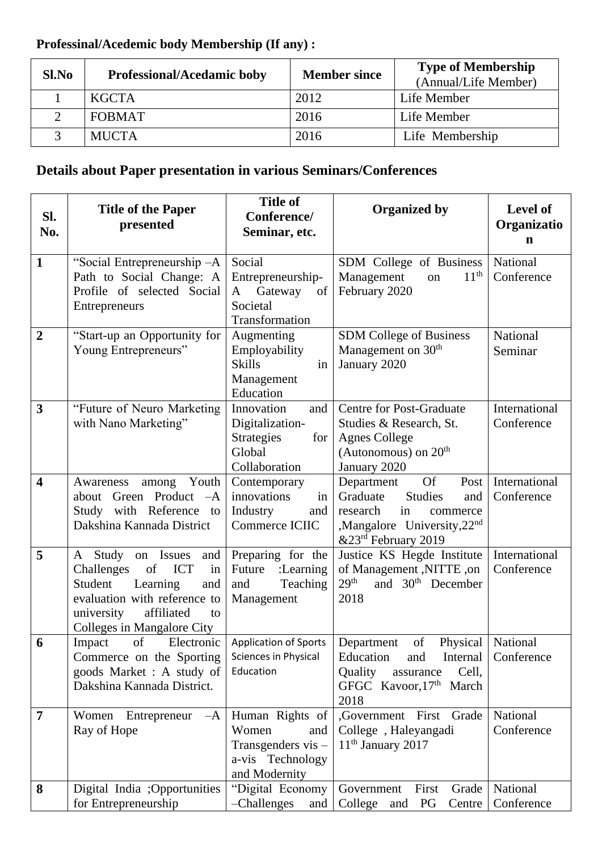# **Professinal/Acedemic body Membership (If any) :**

| Sl.No        | <b>Professional/Acedamic boby</b> | <b>Member since</b> | <b>Type of Membership</b><br>(Annual/Life Member) |
|--------------|-----------------------------------|---------------------|---------------------------------------------------|
|              | <b>KGCTA</b>                      | 2012                | Life Member                                       |
|              | <b>FOBMAT</b>                     | 2016                | Life Member                                       |
| $\mathbf{R}$ | <b>MUCTA</b>                      | 2016                | Life Membership                                   |

# **Details about Paper presentation in various Seminars/Conferences**

| SI.<br>No.              | <b>Title of the Paper</b><br>presented                                                                                                                                                            | <b>Title of</b><br>Conference/<br>Seminar, etc.                                                | <b>Organized by</b>                                                                                                                                                            | <b>Level of</b><br>Organizatio<br>n |
|-------------------------|---------------------------------------------------------------------------------------------------------------------------------------------------------------------------------------------------|------------------------------------------------------------------------------------------------|--------------------------------------------------------------------------------------------------------------------------------------------------------------------------------|-------------------------------------|
| $\mathbf{1}$            | "Social Entrepreneurship -A<br>Path to Social Change: A<br>Profile of selected Social<br>Entrepreneurs                                                                                            | Social<br>Entrepreneurship-<br>Gateway<br>of<br>A<br>Societal<br>Transformation                | SDM College of Business<br>11 <sup>th</sup><br>Management<br>on<br>February 2020                                                                                               | National<br>Conference              |
| $\overline{2}$          | "Start-up an Opportunity for<br>Young Entrepreneurs"                                                                                                                                              | Augmenting<br>Employability<br><b>Skills</b><br>in<br>Management<br>Education                  | SDM College of Business<br>Management on 30 <sup>th</sup><br>January 2020                                                                                                      | National<br>Seminar                 |
| 3                       | "Future of Neuro Marketing<br>with Nano Marketing"                                                                                                                                                | Innovation<br>and<br>Digitalization-<br><b>Strategies</b><br>for<br>Global<br>Collaboration    | <b>Centre for Post-Graduate</b><br>Studies & Research, St.<br><b>Agnes College</b><br>(Autonomous) on $20th$<br>January 2020                                                   | International<br>Conference         |
| $\overline{\mathbf{4}}$ | Youth<br>among<br>Awareness<br>about Green Product -A<br>Study with Reference to<br>Dakshina Kannada District                                                                                     | Contemporary<br>innovations<br>in<br>Industry<br>and<br>Commerce ICIIC                         | <b>Of</b><br>Department<br>Post<br>Graduate<br><b>Studies</b><br>and<br>research<br>in<br>commerce<br>,Mangalore University,22nd<br>&23rd February 2019                        | International<br>Conference         |
| 5                       | A Study<br>on Issues<br>and<br>Challenges<br><b>ICT</b><br>of<br>in<br>Student<br>Learning<br>and<br>evaluation with reference to<br>affiliated<br>university<br>to<br>Colleges in Mangalore City | Preparing for the<br>Future<br>:Learning<br>Teaching<br>and<br>Management                      | Justice KS Hegde Institute<br>of Management ,NITTE ,on<br>29 <sup>th</sup><br>and 30 <sup>th</sup> December<br>2018                                                            | International<br>Conference         |
| 6                       | Commerce on the Sporting<br>goods Market: A study of<br>Dakshina Kannada District.                                                                                                                | Sciences in Physical<br>Education                                                              | Impact of Electronic Application of Sports Department of Physical National<br>Internal<br>Education<br>and<br>Quality<br>Cell.<br>assurance<br>GFGC Kavoor, 17th March<br>2018 | Conference                          |
| 7                       | Women Entrepreneur $-A$<br>Ray of Hope                                                                                                                                                            | Human Rights of<br>Women<br>and  <br>Transgenders $vis -$<br>a-vis Technology<br>and Modernity | ,Government First Grade<br>College, Haleyangadi<br>$11th$ January 2017                                                                                                         | National<br>Conference              |
| 8                       | Digital India ;Opportunities<br>for Entrepreneurship                                                                                                                                              | "Digital Economy<br>-Challenges<br>and                                                         | Government<br>First<br>Grade<br>College<br>PG<br>Centre<br>and                                                                                                                 | National<br>Conference              |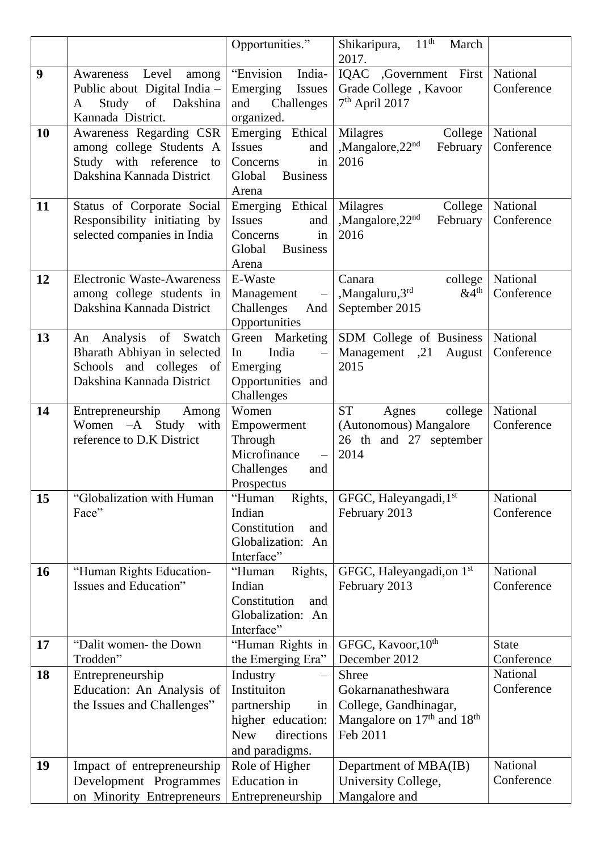|    |                                                                                                              | Opportunities."                                                                                                                                          | 11 <sup>th</sup><br>Shikaripura,<br>March                                                                 |                            |
|----|--------------------------------------------------------------------------------------------------------------|----------------------------------------------------------------------------------------------------------------------------------------------------------|-----------------------------------------------------------------------------------------------------------|----------------------------|
| 9  | Level                                                                                                        | "Envision<br>India-                                                                                                                                      | 2017.<br>IQAC ,Government First                                                                           | National                   |
|    | Awareness<br>among<br>Public about Digital India -<br>of Dakshina<br>Study<br>A<br>Kannada District.         | Emerging<br>Issues<br>and<br>Challenges<br>organized.                                                                                                    | Grade College, Kavoor<br>$7th$ April 2017                                                                 | Conference                 |
| 10 | Awareness Regarding CSR<br>among college Students A<br>Study with reference to<br>Dakshina Kannada District  | Emerging Ethical<br>Issues<br>and<br>Concerns<br>in<br><b>Business</b><br>Global<br>Arena                                                                | College<br>Milagres<br>,Mangalore,22 <sup>nd</sup><br>February<br>2016                                    | National<br>Conference     |
| 11 | Status of Corporate Social<br>Responsibility initiating by<br>selected companies in India                    | Emerging Ethical<br>Issues<br>and<br>Concerns<br>in<br><b>Business</b><br>Global<br>Arena                                                                | College<br>Milagres<br>,Mangalore,22 <sup>nd</sup><br>February<br>2016                                    | National<br>Conference     |
| 12 | <b>Electronic Waste-Awareness</b><br>among college students in<br>Dakshina Kannada District                  | E-Waste<br>Management<br>$\equiv$<br>Challenges<br>And<br>Opportunities                                                                                  | Canara<br>college<br>,Mangaluru,3rd<br>$&4^{\text{th}}$<br>September 2015                                 | National<br>Conference     |
| 13 | An Analysis of Swatch<br>Bharath Abhiyan in selected<br>Schools and colleges of<br>Dakshina Kannada District | Green Marketing<br>India<br>In<br>$\overline{\phantom{0}}$<br>Emerging<br>Opportunities and<br>Challenges                                                | SDM College of Business<br>Management ,21 August<br>2015                                                  | National<br>Conference     |
| 14 | Entrepreneurship<br>Among<br>Women $-A$ Study<br>with<br>reference to D.K District                           | Women<br>Empowerment<br>Through<br>Microfinance<br>$\overline{\phantom{m}}$<br>Challenges<br>and<br>Prospectus                                           | <b>ST</b><br>Agnes<br>college<br>(Autonomous) Mangalore<br>26 th and 27 september<br>2014                 | National<br>Conference     |
| 15 | "Globalization with Human<br>Face"                                                                           | "Human<br>Rights,<br>Indian<br>Constitution<br>and<br>Globalization: An<br>Interface"                                                                    | GFGC, Haleyangadi, 1st<br>February 2013                                                                   | National<br>Conference     |
| 16 | "Human Rights Education-<br>Issues and Education"                                                            | "Human<br>Rights,<br>Indian<br>Constitution<br>and<br>Globalization: An<br>Interface"                                                                    | GFGC, Haleyangadi, on 1 <sup>st</sup><br>February 2013                                                    | National<br>Conference     |
| 17 | "Dalit women- the Down<br>Trodden"                                                                           | "Human Rights in<br>the Emerging Era"                                                                                                                    | GFGC, Kavoor, 10 <sup>th</sup><br>December 2012                                                           | <b>State</b><br>Conference |
| 18 | Entrepreneurship<br>Education: An Analysis of<br>the Issues and Challenges"                                  | Industry<br>$\overline{\phantom{0}}$<br>Instituiton<br>partnership<br>in <sub>1</sub><br>higher education:<br>directions<br><b>New</b><br>and paradigms. | <b>Shree</b><br>Gokarnanatheshwara<br>College, Gandhinagar,<br>Mangalore on $17th$ and $18th$<br>Feb 2011 | National<br>Conference     |
| 19 | Impact of entrepreneurship<br>Development Programmes<br>on Minority Entrepreneurs                            | Role of Higher<br><b>Education</b> in<br>Entrepreneurship                                                                                                | Department of MBA(IB)<br>University College,<br>Mangalore and                                             | National<br>Conference     |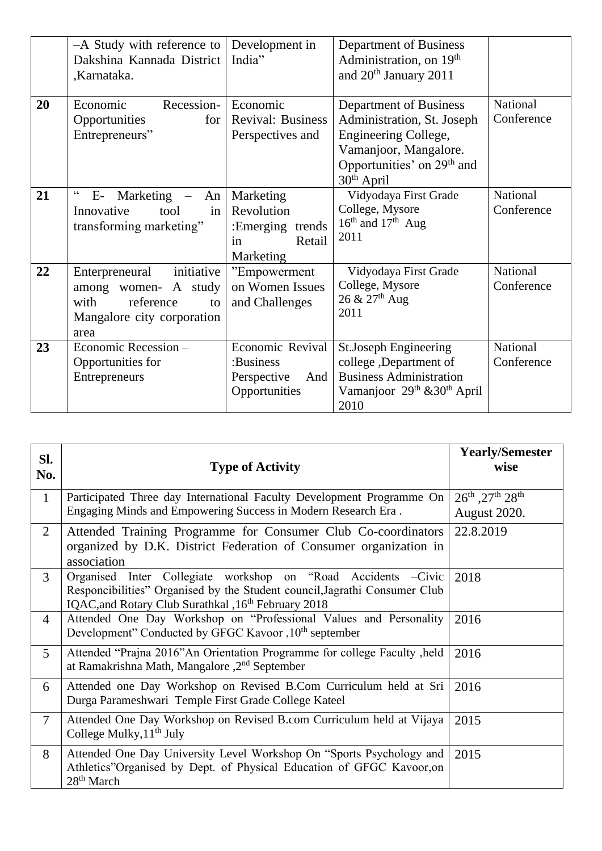|    | -A Study with reference to<br>Dakshina Kannada District<br>,Karnataka.                                                | Development in<br>India"                                                        | Department of Business<br>Administration, on 19 <sup>th</sup><br>and 20 <sup>th</sup> January 2011                                                              |                        |
|----|-----------------------------------------------------------------------------------------------------------------------|---------------------------------------------------------------------------------|-----------------------------------------------------------------------------------------------------------------------------------------------------------------|------------------------|
| 20 | Recession-<br>Economic<br>Opportunities<br>for<br>Entrepreneurs"                                                      | Economic<br><b>Revival: Business</b><br>Perspectives and                        | Department of Business<br>Administration, St. Joseph<br>Engineering College,<br>Vamanjoor, Mangalore.<br>Opportunities' on 29 <sup>th</sup> and<br>$30th$ April | National<br>Conference |
| 21 | $\epsilon$<br>$E$ - Marketing $-$<br>An<br>Innovative<br>in<br>tool<br>transforming marketing"                        | Marketing<br>Revolution<br>$: Energying$<br>trends<br>Retail<br>in<br>Marketing | Vidyodaya First Grade<br>College, Mysore<br>$16th$ and $17th$ Aug<br>2011                                                                                       | National<br>Conference |
| 22 | initiative<br>Enterpreneural<br>among women- A study<br>with<br>reference<br>to<br>Mangalore city corporation<br>area | "Empowerment<br>on Women Issues<br>and Challenges                               | Vidyodaya First Grade<br>College, Mysore<br>$26 \& 27$ <sup>th</sup> Aug<br>2011                                                                                | National<br>Conference |
| 23 | Economic Recession -<br>Opportunities for<br>Entrepreneurs                                                            | Economic Revival<br>:Business<br>Perspective<br>And<br>Opportunities            | St.Joseph Engineering<br>college, Department of<br><b>Business Administration</b><br>Vamanjoor 29 <sup>th</sup> & 30 <sup>th</sup> April<br>2010                | National<br>Conference |

| SI.<br>No.     | <b>Type of Activity</b>                                                                                                                                                                                        | <b>Yearly/Semester</b><br>wise  |
|----------------|----------------------------------------------------------------------------------------------------------------------------------------------------------------------------------------------------------------|---------------------------------|
| $\mathbf{1}$   | Participated Three day International Faculty Development Programme On<br>Engaging Minds and Empowering Success in Modern Research Era.                                                                         | 26th ,27th 28th<br>August 2020. |
| $\overline{2}$ | Attended Training Programme for Consumer Club Co-coordinators<br>organized by D.K. District Federation of Consumer organization in<br>association                                                              | 22.8.2019                       |
| 3              | Organised Inter Collegiate workshop on "Road Accidents -Civic<br>Responcibilities" Organised by the Student council, Jagrathi Consumer Club<br>IQAC, and Rotary Club Surathkal, 16 <sup>th</sup> February 2018 | 2018                            |
| $\overline{4}$ | Attended One Day Workshop on "Professional Values and Personality<br>Development" Conducted by GFGC Kavoor, 10 <sup>th</sup> september                                                                         | 2016                            |
| 5              | Attended "Prajna 2016" An Orientation Programme for college Faculty, held<br>at Ramakrishna Math, Mangalore , 2 <sup>nd</sup> September                                                                        | 2016                            |
| 6              | Attended one Day Workshop on Revised B.Com Curriculum held at Sri<br>Durga Parameshwari Temple First Grade College Kateel                                                                                      | 2016                            |
| $\overline{7}$ | Attended One Day Workshop on Revised B.com Curriculum held at Vijaya<br>College Mulky, 11 <sup>th</sup> July                                                                                                   | 2015                            |
| 8              | Attended One Day University Level Workshop On "Sports Psychology and<br>Athletics"Organised by Dept. of Physical Education of GFGC Kavoor, on<br>$28th$ March                                                  | 2015                            |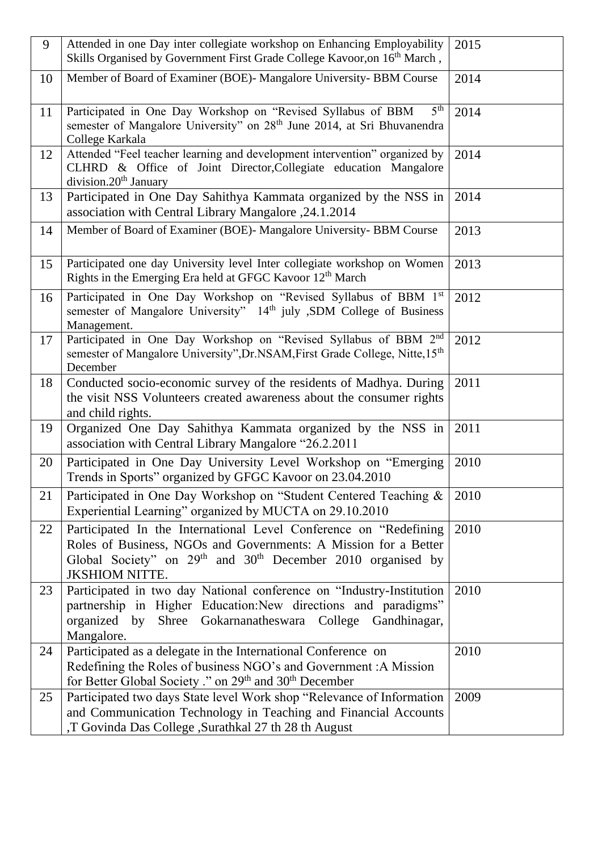| 9  | Attended in one Day inter collegiate workshop on Enhancing Employability                                                                                                                                                                             | 2015 |
|----|------------------------------------------------------------------------------------------------------------------------------------------------------------------------------------------------------------------------------------------------------|------|
|    | Skills Organised by Government First Grade College Kavoor, on 16 <sup>th</sup> March,                                                                                                                                                                |      |
| 10 | Member of Board of Examiner (BOE)- Mangalore University- BBM Course                                                                                                                                                                                  | 2014 |
| 11 | Participated in One Day Workshop on "Revised Syllabus of BBM<br>5 <sup>th</sup><br>semester of Mangalore University" on 28 <sup>th</sup> June 2014, at Sri Bhuvanendra<br>College Karkala                                                            | 2014 |
| 12 | Attended "Feel teacher learning and development intervention" organized by<br>CLHRD & Office of Joint Director, Collegiate education Mangalore<br>division.20 <sup>th</sup> January                                                                  | 2014 |
| 13 | Participated in One Day Sahithya Kammata organized by the NSS in<br>association with Central Library Mangalore , 24.1.2014                                                                                                                           | 2014 |
| 14 | Member of Board of Examiner (BOE)- Mangalore University- BBM Course                                                                                                                                                                                  | 2013 |
| 15 | Participated one day University level Inter collegiate workshop on Women<br>Rights in the Emerging Era held at GFGC Kavoor 12 <sup>th</sup> March                                                                                                    | 2013 |
| 16 | Participated in One Day Workshop on "Revised Syllabus of BBM 1st<br>semester of Mangalore University" 14th july ,SDM College of Business<br>Management.                                                                                              | 2012 |
| 17 | Participated in One Day Workshop on "Revised Syllabus of BBM 2nd<br>semester of Mangalore University", Dr. NSAM, First Grade College, Nitte, 15 <sup>th</sup><br>December                                                                            | 2012 |
| 18 | Conducted socio-economic survey of the residents of Madhya. During<br>the visit NSS Volunteers created awareness about the consumer rights<br>and child rights.                                                                                      | 2011 |
| 19 | Organized One Day Sahithya Kammata organized by the NSS in<br>association with Central Library Mangalore "26.2.2011                                                                                                                                  | 2011 |
| 20 | Participated in One Day University Level Workshop on "Emerging<br>Trends in Sports" organized by GFGC Kavoor on 23.04.2010                                                                                                                           | 2010 |
| 21 | Participated in One Day Workshop on "Student Centered Teaching &<br>Experiential Learning" organized by MUCTA on 29.10.2010                                                                                                                          | 2010 |
| 22 | Participated In the International Level Conference on "Redefining<br>Roles of Business, NGOs and Governments: A Mission for a Better<br>Global Society" on 29 <sup>th</sup> and 30 <sup>th</sup> December 2010 organised by<br><b>JKSHIOM NITTE.</b> | 2010 |
| 23 | Participated in two day National conference on "Industry-Institution<br>partnership in Higher Education: New directions and paradigms"<br>organized by Shree Gokarnanatheswara College Gandhinagar,<br>Mangalore.                                    | 2010 |
| 24 | Participated as a delegate in the International Conference on<br>Redefining the Roles of business NGO's and Government: A Mission<br>for Better Global Society ." on 29 <sup>th</sup> and 30 <sup>th</sup> December                                  | 2010 |
| 25 | Participated two days State level Work shop "Relevance of Information<br>and Communication Technology in Teaching and Financial Accounts<br>,T Govinda Das College ,Surathkal 27 th 28 th August                                                     | 2009 |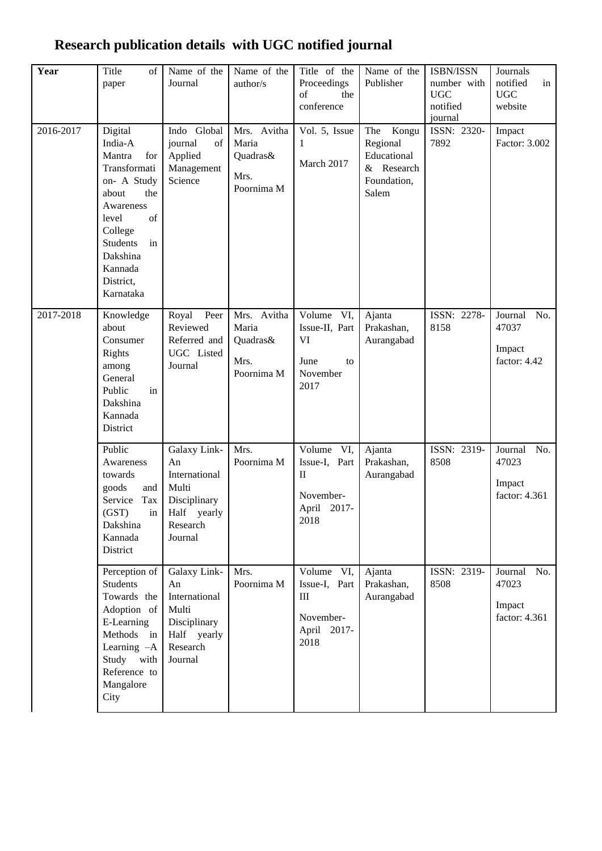#### **Year** Title of paper Name of the Journal Name of the author/s Title of the Proceedings of the conference Name of the Publisher ISBN/ISSN number with UGC notified journal Journals notified in UGC website 2016-2017 Digital India-A Mantra for Transformati on- A Study about the Awareness level of College Students in Dakshina Kannada District, Karnataka Indo Global journal of Applied Management Science Mrs. Avitha Maria Quadras& Mrs. Poornima M Vol. 5, Issue 1 March 2017 The Kongu Regional Educational & Research Foundation, Salem ISSN: 2320- 7892 Impact Factor: 3.002 2017-2018 Knowledge about Consumer Rights among General Public in Dakshina Kannada District Royal Peer Reviewed Referred and UGC Listed Journal Mrs. Avitha Maria Quadras& Mrs. Poornima M Volume VI, Issue-II, Part VI June to November 2017 Ajanta Prakashan, Aurangabad ISSN: 2278- 8158 Journal No. 47037 Impact factor: 4.42 Public Awareness towards goods and Service Tax (GST) in Dakshina Kannada **District** Galaxy Link-An International Multi Disciplinary Half yearly Research Journal Mrs. Poornima M Volume VI, Issue-I, Part II November-April 2017- 2018 Ajanta Prakashan, Aurangabad ISSN: 2319- 8508 Journal No. 47023 Impact factor: 4.361 Perception of Students Towards the Adoption of E-Learning Methods in Learning –A Study with Reference to Mangalore **City** Galaxy Link-An International Multi Disciplinary Half yearly Research Journal Mrs. Poornima M Volume VI, Issue-I, Part III November-April 2017- 2018 Ajanta Prakashan, Aurangabad ISSN: 2319- 8508 Journal No. 47023 Impact factor: 4.361

## **Research publication details with UGC notified journal**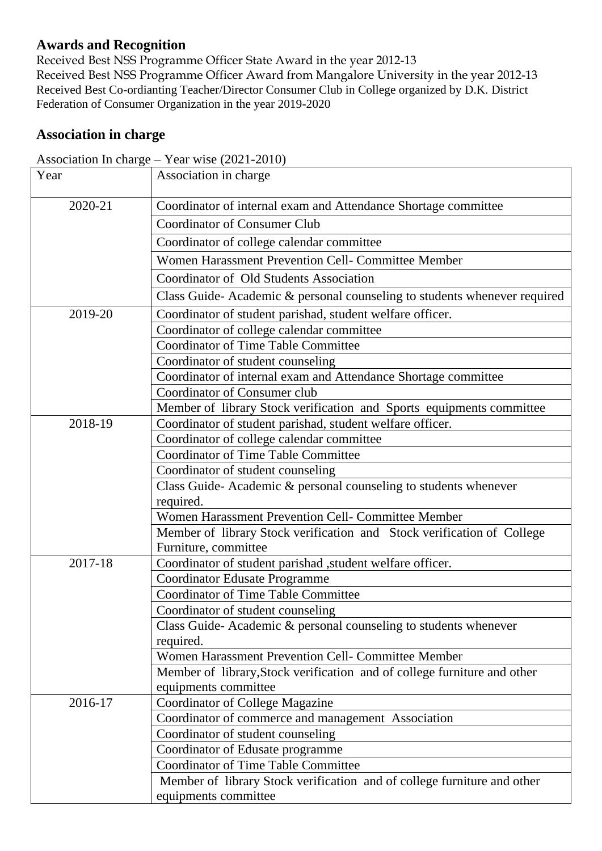#### **Awards and Recognition**

Received Best NSS Programme Officer State Award in the year 2012-13 Received Best NSS Programme Officer Award from Mangalore University in the year 2012-13 Received Best Co-ordianting Teacher/Director Consumer Club in College organized by D.K. District Federation of Consumer Organization in the year 2019-2020

#### **Association in charge**

| Year    | Association in charge                                                        |
|---------|------------------------------------------------------------------------------|
| 2020-21 | Coordinator of internal exam and Attendance Shortage committee               |
|         | <b>Coordinator of Consumer Club</b>                                          |
|         | Coordinator of college calendar committee                                    |
|         | Women Harassment Prevention Cell- Committee Member                           |
|         | Coordinator of Old Students Association                                      |
|         | Class Guide-Academic & personal counseling to students whenever required     |
| 2019-20 | Coordinator of student parishad, student welfare officer.                    |
|         | Coordinator of college calendar committee                                    |
|         | <b>Coordinator of Time Table Committee</b>                                   |
|         | Coordinator of student counseling                                            |
|         | Coordinator of internal exam and Attendance Shortage committee               |
|         | Coordinator of Consumer club                                                 |
|         | Member of library Stock verification and Sports equipments committee         |
| 2018-19 | Coordinator of student parishad, student welfare officer.                    |
|         | Coordinator of college calendar committee                                    |
|         | <b>Coordinator of Time Table Committee</b>                                   |
|         | Coordinator of student counseling                                            |
|         | Class Guide-Academic & personal counseling to students whenever              |
|         | required.                                                                    |
|         | Women Harassment Prevention Cell- Committee Member                           |
|         | Member of library Stock verification and Stock verification of College       |
|         | Furniture, committee                                                         |
| 2017-18 | Coordinator of student parishad , student welfare officer.                   |
|         | <b>Coordinator Edusate Programme</b>                                         |
|         | <b>Coordinator of Time Table Committee</b>                                   |
|         | Coordinator of student counseling                                            |
|         | Class Guide-Academic & personal counseling to students whenever<br>required. |
|         | Women Harassment Prevention Cell- Committee Member                           |
|         | Member of library, Stock verification and of college furniture and other     |
|         | equipments committee                                                         |
| 2016-17 | <b>Coordinator of College Magazine</b>                                       |
|         | Coordinator of commerce and management Association                           |
|         | Coordinator of student counseling                                            |
|         | Coordinator of Edusate programme                                             |
|         | <b>Coordinator of Time Table Committee</b>                                   |
|         | Member of library Stock verification and of college furniture and other      |
|         | equipments committee                                                         |